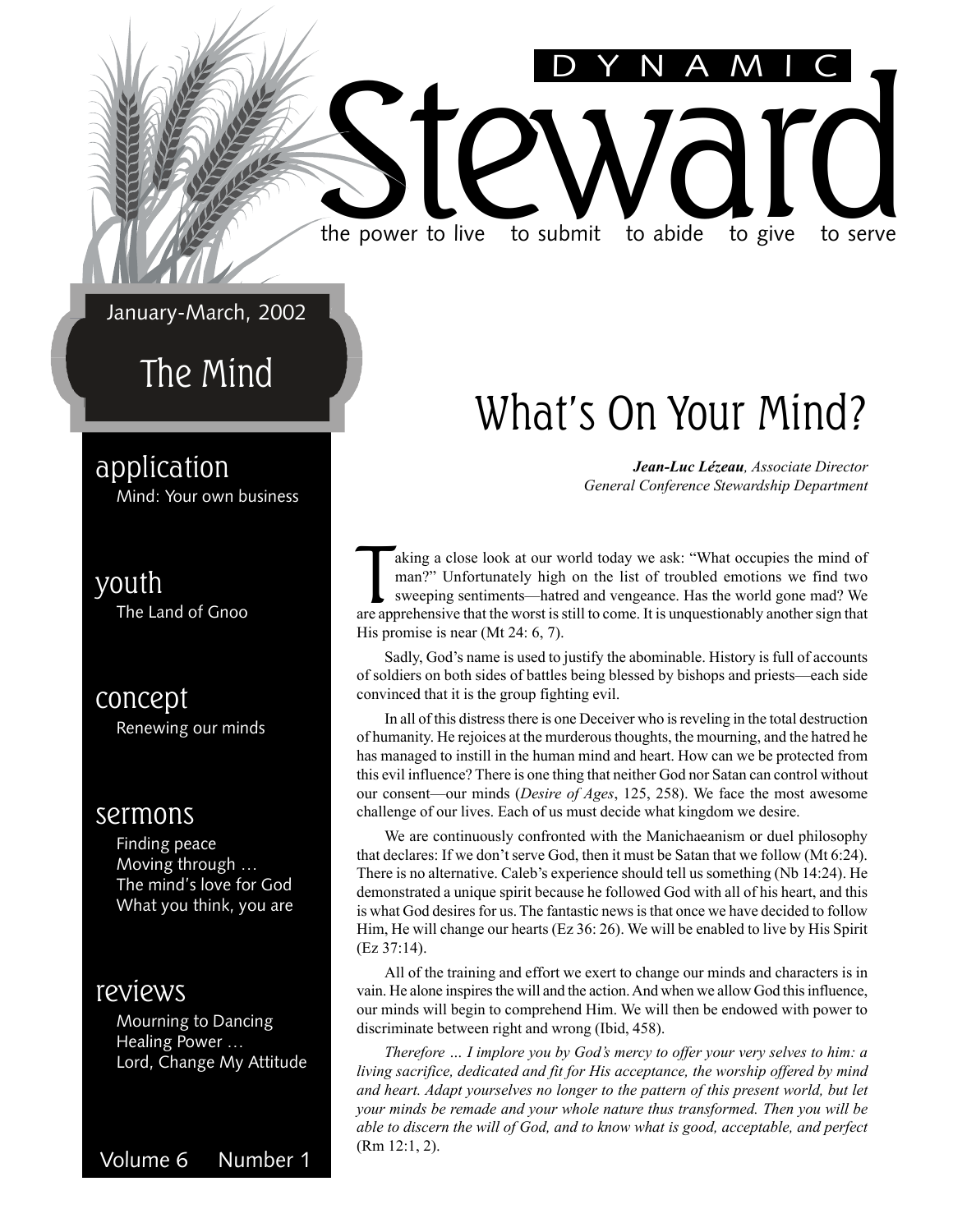#### January-March, 2002

### The Mind

### application

Mind: Your own business

### youth

The Land of Gnoo

concept Renewing our minds

#### sermons

Finding peace Moving through ... The mind's love for God What you think, you are

### reviews

Mourning to Dancing Healing Power ... Lord, Change My Attitude

Volume 6 Number 1  $(Rm 12:1, 2)$ .

### What's On Your Mind?

DYNAMIC

*Jean-Luc LÈzeau, Associate Director General Conference Stewardship Department*

aking a close look at our world today we ask: "What occupies the mind of man?" Unfortunately high on the list of troubled emotions we find two sweeping sentiments—hatred and vengeance. Has the world gone mad? We are appreh aking a close look at our world today we ask: "What occupies the mind of man?î Unfortunately high on the list of troubled emotions we find two sweeping sentiments—hatred and vengeance. Has the world gone mad? We His promise is near (Mt 24: 6, 7).

the power to live to submit to abide to give to serve

the power to live to submit to abide to give to serve

Sadly, God's name is used to justify the abominable. History is full of accounts of soldiers on both sides of battles being blessed by bishops and priests—each side convinced that it is the group fighting evil.

In all of this distress there is one Deceiver who is reveling in the total destruction of humanity. He rejoices at the murderous thoughts, the mourning, and the hatred he has managed to instill in the human mind and heart. How can we be protected from this evil influence? There is one thing that neither God nor Satan can control without our consent—our minds (*Desire of Ages*, 125, 258). We face the most awesome challenge of our lives. Each of us must decide what kingdom we desire.

We are continuously confronted with the Manichaeanism or duel philosophy that declares: If we don't serve God, then it must be Satan that we follow (Mt 6:24). There is no alternative. Caleb's experience should tell us something (Nb 14:24). He demonstrated a unique spirit because he followed God with all of his heart, and this is what God desires for us. The fantastic news is that once we have decided to follow Him, He will change our hearts (Ez 36: 26). We will be enabled to live by His Spirit (Ez 37:14).

All of the training and effort we exert to change our minds and characters is in vain. He alone inspires the will and the action. And when we allow God this influence, our minds will begin to comprehend Him. We will then be endowed with power to discriminate between right and wrong (Ibid, 458).

*Therefore ... I implore you by God's mercy to offer your very selves to him: a living sacrifice, dedicated and fit for His acceptance, the worship offered by mind and heart. Adapt yourselves no longer to the pattern of this present world, but let your minds be remade and your whole nature thus transformed. Then you will be able to discern the will of God, and to know what is good, acceptable, and perfect*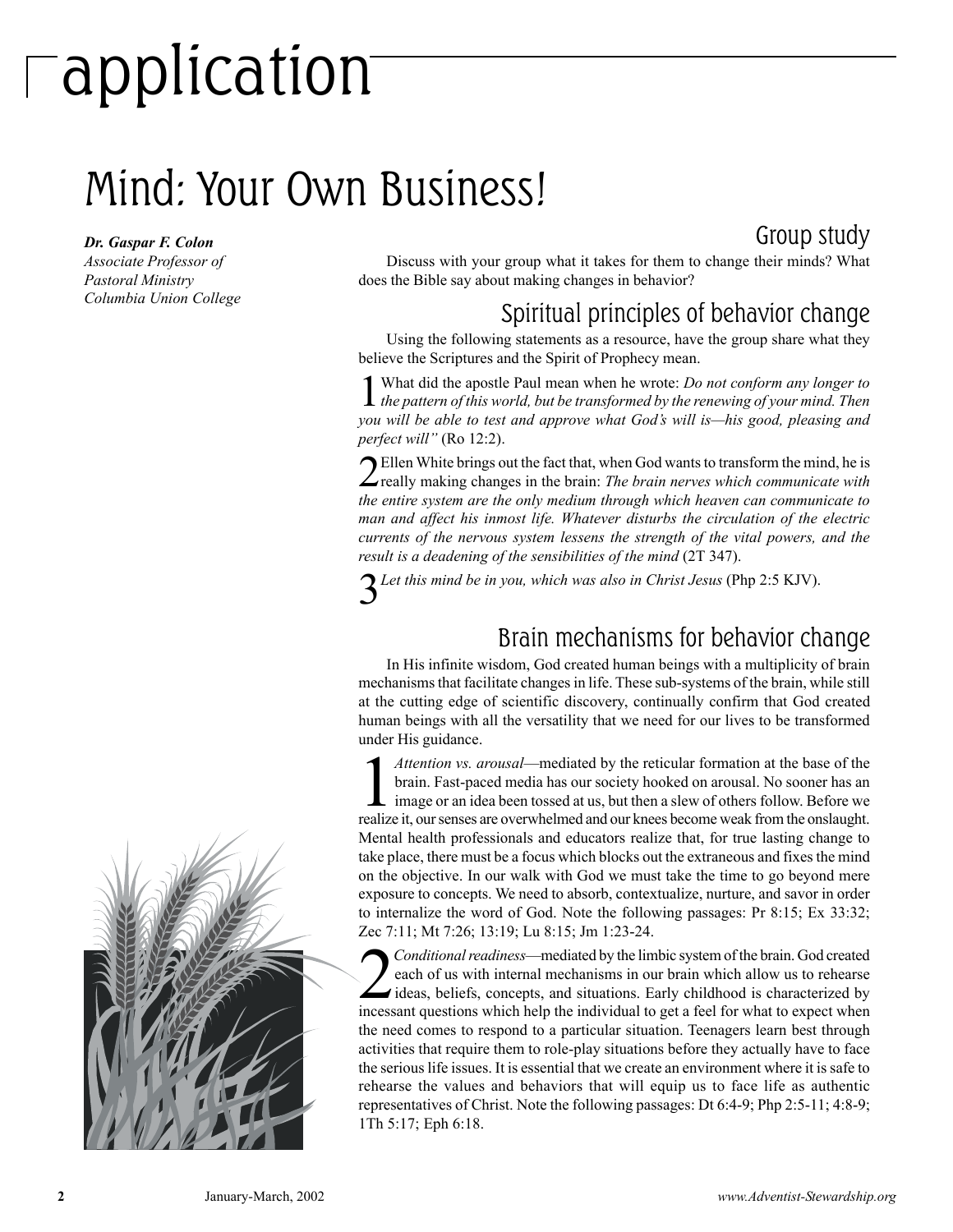# application

### Mind: Your Own Business!

#### *Dr. Gaspar F. Colon*

*Associate Professor of Pastoral Ministry Columbia Union College*



Discuss with your group what it takes for them to change their minds? What does the Bible say about making changes in behavior?

### Spiritual principles of behavior change

Using the following statements as a resource, have the group share what they believe the Scriptures and the Spirit of Prophecy mean.

1What did the apostle Paul mean when he wrote: *Do not conform any longer to the pattern of this world, but be transformed by the renewing of your mind. Then you will be able to test and approve what God's will is—his good, pleasing and perfect will*" (Ro 12:2).

2Ellen White brings out the fact that, when God wants to transform the mind, he is really making changes in the brain: *The brain nerves which communicate with the entire system are the only medium through which heaven can communicate to man and affect his inmost life. Whatever disturbs the circulation of the electric currents of the nervous system lessens the strength of the vital powers, and the result is a deadening of the sensibilities of the mind* (2T 347).

3*Let this mind be in you, which was also in Christ Jesus* (Php 2:5 KJV).

### Brain mechanisms for behavior change

In His infinite wisdom, God created human beings with a multiplicity of brain mechanisms that facilitate changes in life. These sub-systems of the brain, while still at the cutting edge of scientific discovery, continually confirm that God created human beings with all the versatility that we need for our lives to be transformed under His guidance.

Attention vs. arousal—mediated by the reticular formation at the base of the brain. Fast-paced media has our society hooked on arousal. No sooner has an image or an idea been tossed at us, but then a slew of others follow. *Attention vs. arousal*—mediated by the reticular formation at the base of the brain. Fast-paced media has our society hooked on arousal. No sooner has an image or an idea been tossed at us, but then a slew of others follow. Before we Mental health professionals and educators realize that, for true lasting change to take place, there must be a focus which blocks out the extraneous and fixes the mind on the objective. In our walk with God we must take the time to go beyond mere exposure to concepts. We need to absorb, contextualize, nurture, and savor in order to internalize the word of God. Note the following passages: Pr 8:15; Ex 33:32; Zec 7:11; Mt 7:26; 13:19; Lu 8:15; Jm 1:23-24.

Conditional readiness—mediated by the limbic system of the brain. God created<br>each of us with internal mechanisms in our brain which allow us to rehearse<br>ideas, beliefs, concepts, and situations. Early childhood is charact *Conditional readiness*—mediated by the limbic system of the brain. God created each of us with internal mechanisms in our brain which allow us to rehearse incessant questions which help the individual to get a feel for what to expect when the need comes to respond to a particular situation. Teenagers learn best through activities that require them to role-play situations before they actually have to face the serious life issues. It is essential that we create an environment where it is safe to rehearse the values and behaviors that will equip us to face life as authentic representatives of Christ. Note the following passages: Dt 6:4-9; Php 2:5-11; 4:8-9; 1Th 5:17; Eph 6:18.

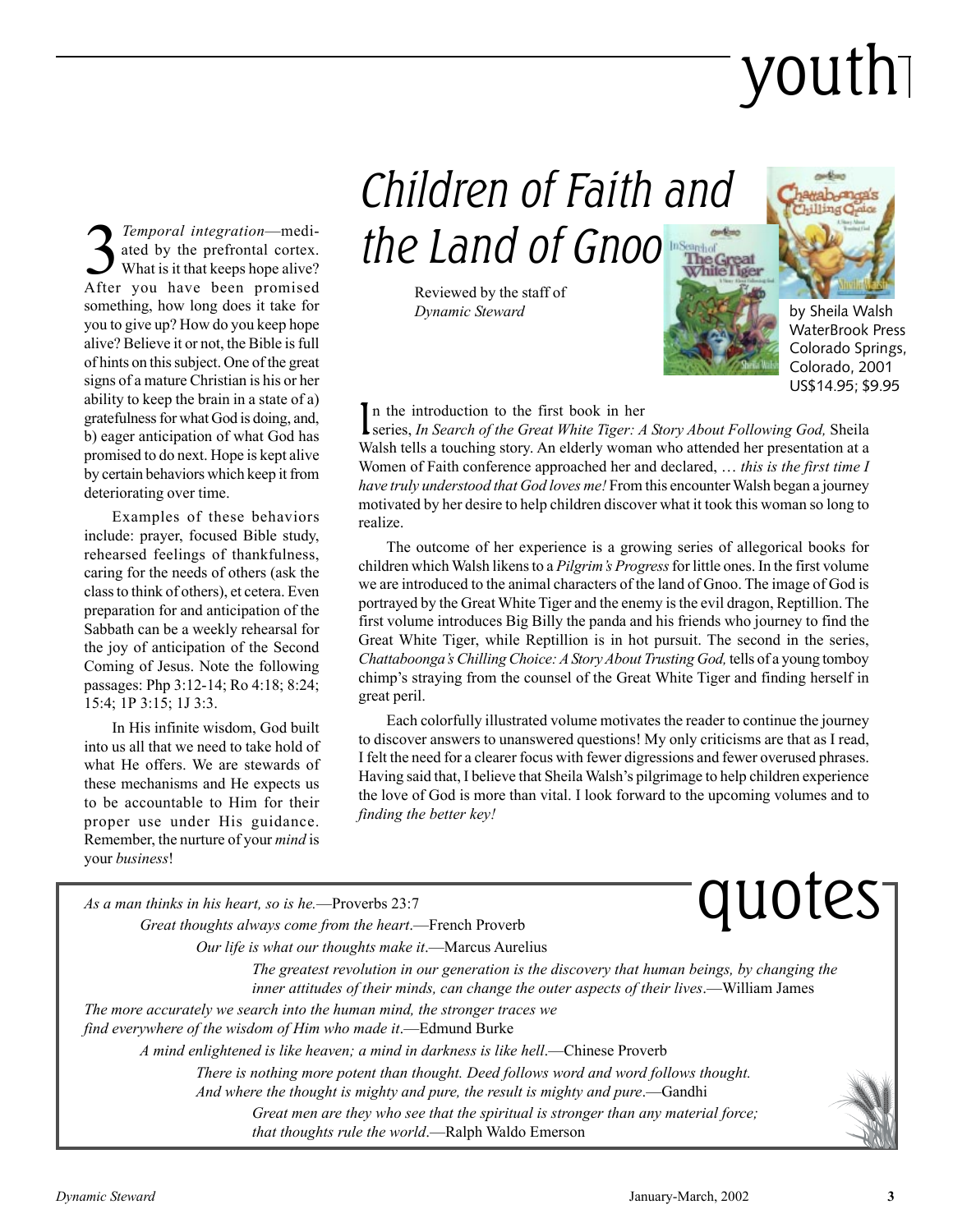# youth

**3** *Temporal integration*—mediated by the prefrontal cortex.<br>What is it that keeps hope alive? ated by the prefrontal cortex. What is it that keeps hope alive? After you have been promised something, how long does it take for you to give up? How do you keep hope alive? Believe it or not, the Bible is full of hints on this subject. One of the great signs of a mature Christian is his or her ability to keep the brain in a state of a) gratefulness for what God is doing, and, b) eager anticipation of what God has promised to do next. Hope is kept alive by certain behaviors which keep it from deteriorating over time.

Examples of these behaviors include: prayer, focused Bible study, rehearsed feelings of thankfulness, caring for the needs of others (ask the class to think of others), et cetera. Even preparation for and anticipation of the Sabbath can be a weekly rehearsal for the joy of anticipation of the Second Coming of Jesus. Note the following passages: Php 3:12-14; Ro 4:18; 8:24; 15:4; 1P 3:15; 1J 3:3.

In His infinite wisdom, God built into us all that we need to take hold of what He offers. We are stewards of these mechanisms and He expects us to be accountable to Him for their proper use under His guidance. Remember, the nurture of your *mind* is your *business*!

Children of Faith and the Land of Gnoo

> Reviewed by the staff of *Dynamic Steward*





by Sheila Walsh WaterBrook Press Colorado Springs, Colorado, 2001 US\$14.95; \$9.95

#### n the introduction to the first book in her

In the introduction to the first book in her<br>Search of the Great White Tiger: A Story About Following God, Sheila<br>Search of the Great White Tiger: A Story About Following God, Sheila Walsh tells a touching story. An elderly woman who attended her presentation at a Women of Faith conference approached her and declared,  $\dots$  this is the first time I *have truly understood that God loves me!* From this encounter Walsh began a journey motivated by her desire to help children discover what it took this woman so long to realize.

The outcome of her experience is a growing series of allegorical books for children which Walsh likens to a *Pilgrim's Progress* for little ones. In the first volume we are introduced to the animal characters of the land of Gnoo. The image of God is portrayed by the Great White Tiger and the enemy is the evil dragon, Reptillion. The first volume introduces Big Billy the panda and his friends who journey to find the Great White Tiger, while Reptillion is in hot pursuit. The second in the series, *Chattaboongaís Chilling Choice: A Story About Trusting God,* tells of a young tomboy chimpís straying from the counsel of the Great White Tiger and finding herself in great peril.

Each colorfully illustrated volume motivates the reader to continue the journey to discover answers to unanswered questions! My only criticisms are that as I read, I felt the need for a clearer focus with fewer digressions and fewer overused phrases. Having said that, I believe that Sheila Walsh's pilgrimage to help children experience the love of God is more than vital. I look forward to the upcoming volumes and to *finding the better key!*

As a man thinks in his heart, so is he.—Proverbs 23:7 *Great thoughts always come from the heart* quotes<sup>-</sup> *Our life is what our thoughts make it*.—Marcus Aurelius *The greatest revolution in our generation is the discovery that human beings, by changing the inner attitudes of their minds, can change the outer aspects of their lives.*—William James *The more accurately we search into the human mind, the stronger traces we find everywhere of the wisdom of Him who made it*.—Edmund Burke *A mind enlightened is like heaven; a mind in darkness is like hell.*—Chinese Proverb *There is nothing more potent than thought. Deed follows word and word follows thought. And where the thought is mighty and pure, the result is mighty and pure.*—Gandhi *Great men are they who see that the spiritual is stronger than any material force;* that thoughts rule the world.**---Ralph Waldo Emerson**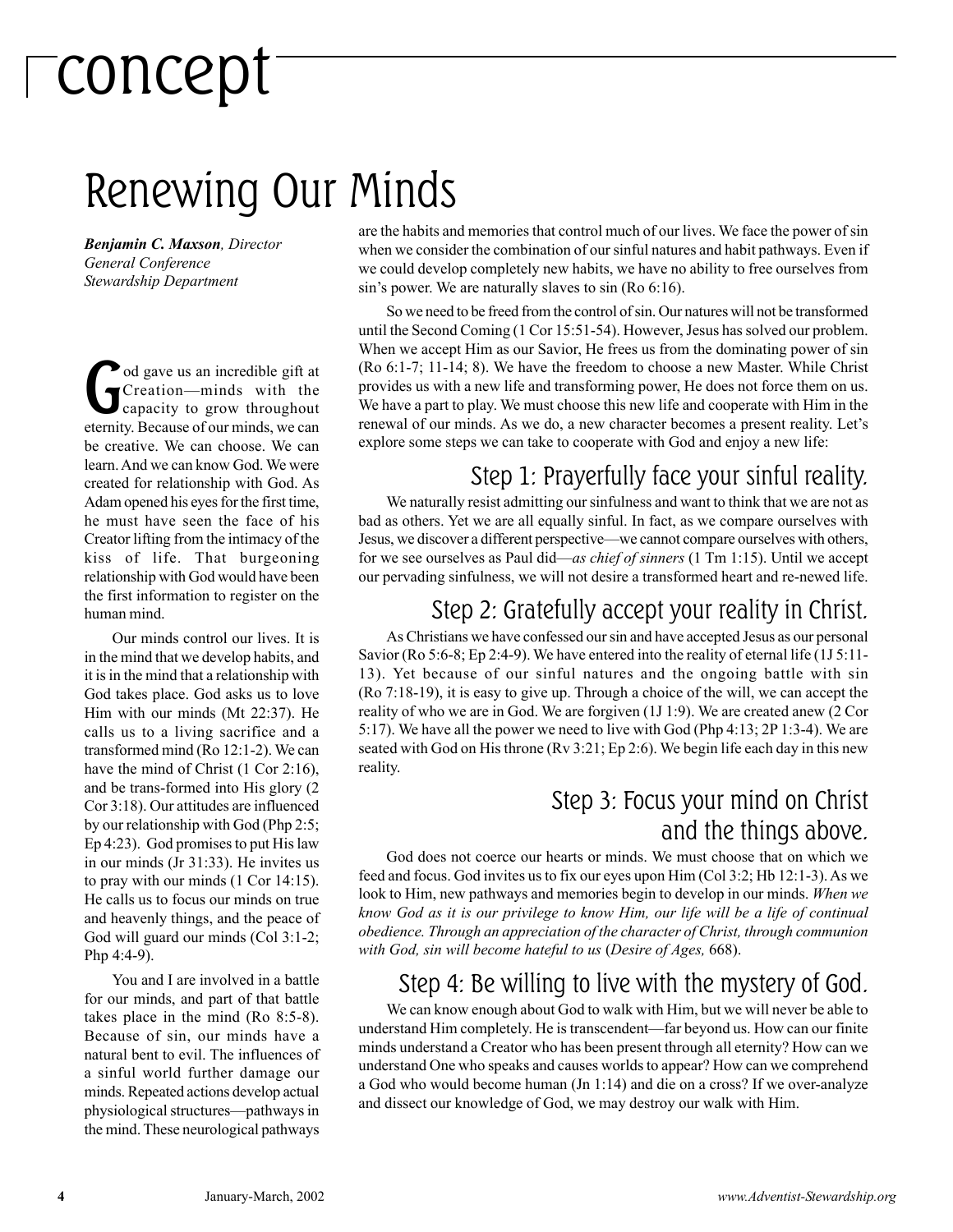# concept

### Renewing Our Minds

*Benjamin C. Maxson, Director General Conference Stewardship Department*

**God gave us an incredible gift at**<br>Creation—minds with the<br>capacity to grow throughout Creation-minds with the capacity to grow throughout eternity. Because of our minds, we can be creative. We can choose. We can learn. And we can know God. We were created for relationship with God. As Adam opened his eyes for the first time, he must have seen the face of his Creator lifting from the intimacy of the kiss of life. That burgeoning relationship with God would have been the first information to register on the human mind.

Our minds control our lives. It is in the mind that we develop habits, and it is in the mind that a relationship with God takes place. God asks us to love Him with our minds (Mt 22:37). He calls us to a living sacrifice and a transformed mind (Ro 12:1-2). We can have the mind of Christ (1 Cor 2:16), and be trans-formed into His glory (2 Cor 3:18). Our attitudes are influenced by our relationship with God (Php 2:5; Ep 4:23). God promises to put His law in our minds (Jr 31:33). He invites us to pray with our minds (1 Cor 14:15). He calls us to focus our minds on true and heavenly things, and the peace of God will guard our minds (Col 3:1-2; Php 4:4-9).

You and I are involved in a battle for our minds, and part of that battle takes place in the mind (Ro 8:5-8). Because of sin, our minds have a natural bent to evil. The influences of a sinful world further damage our minds. Repeated actions develop actual physiological structures—pathways in the mind. These neurological pathways

are the habits and memories that control much of our lives. We face the power of sin when we consider the combination of our sinful natures and habit pathways. Even if we could develop completely new habits, we have no ability to free ourselves from sin's power. We are naturally slaves to sin (Ro 6:16).

So we need to be freed from the control of sin. Our natures will not be transformed until the Second Coming (1 Cor 15:51-54). However, Jesus has solved our problem. When we accept Him as our Savior, He frees us from the dominating power of sin (Ro 6:1-7; 11-14; 8). We have the freedom to choose a new Master. While Christ provides us with a new life and transforming power, He does not force them on us. We have a part to play. We must choose this new life and cooperate with Him in the renewal of our minds. As we do, a new character becomes a present reality. Let's explore some steps we can take to cooperate with God and enjoy a new life:

### Step 1: Prayerfully face your sinful reality.

We naturally resist admitting our sinfulness and want to think that we are not as bad as others. Yet we are all equally sinful. In fact, as we compare ourselves with Jesus, we discover a different perspective—we cannot compare ourselves with others, for we see ourselves as Paul did—*as chief of sinners* (1 Tm 1:15). Until we accept our pervading sinfulness, we will not desire a transformed heart and re-newed life.

### Step 2: Gratefully accept your reality in Christ.

As Christians we have confessed our sin and have accepted Jesus as our personal Savior (Ro 5:6-8; Ep 2:4-9). We have entered into the reality of eternal life (1J 5:11- 13). Yet because of our sinful natures and the ongoing battle with sin (Ro 7:18-19), it is easy to give up. Through a choice of the will, we can accept the reality of who we are in God. We are forgiven (1J 1:9). We are created anew (2 Cor 5:17). We have all the power we need to live with God (Php 4:13; 2P 1:3-4). We are seated with God on His throne (Rv 3:21; Ep 2:6). We begin life each day in this new reality.

#### Step 3: Focus your mind on Christ and the things above.

God does not coerce our hearts or minds. We must choose that on which we feed and focus. God invites us to fix our eyes upon Him (Col 3:2; Hb 12:1-3). As we look to Him, new pathways and memories begin to develop in our minds. *When we know God as it is our privilege to know Him, our life will be a life of continual obedience. Through an appreciation of the character of Christ, through communion with God, sin will become hateful to us* (*Desire of Ages,* 668).

### Step 4: Be willing to live with the mystery of God.

We can know enough about God to walk with Him, but we will never be able to understand Him completely. He is transcendent—far beyond us. How can our finite minds understand a Creator who has been present through all eternity? How can we understand One who speaks and causes worlds to appear? How can we comprehend a God who would become human (Jn 1:14) and die on a cross? If we over-analyze and dissect our knowledge of God, we may destroy our walk with Him.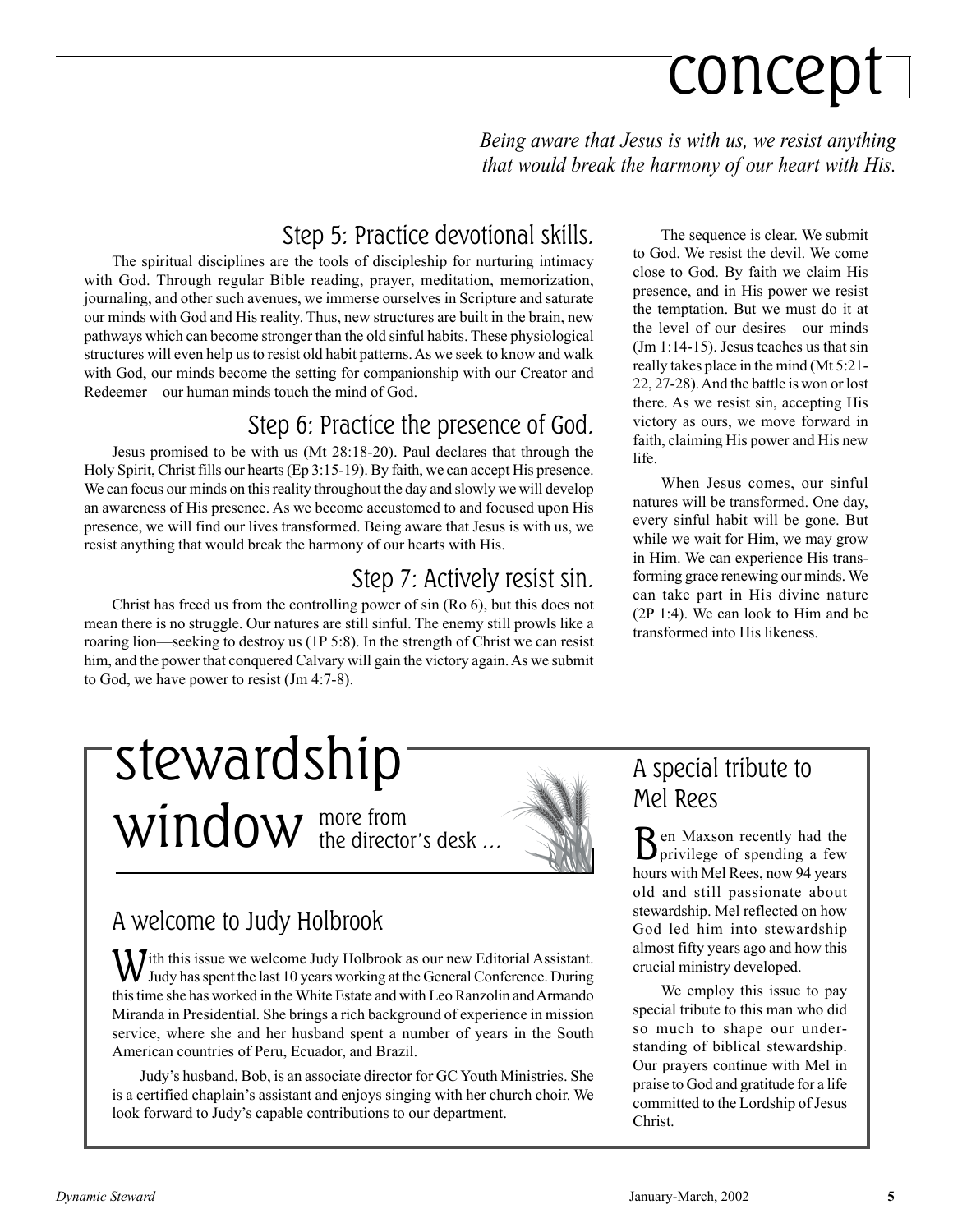# concept

*Being aware that Jesus is with us, we resist anything that would break the harmony of our heart with His.*

### Step 5: Practice devotional skills.

The spiritual disciplines are the tools of discipleship for nurturing intimacy with God. Through regular Bible reading, prayer, meditation, memorization, journaling, and other such avenues, we immerse ourselves in Scripture and saturate our minds with God and His reality. Thus, new structures are built in the brain, new pathways which can become stronger than the old sinful habits. These physiological structures will even help us to resist old habit patterns. As we seek to know and walk with God, our minds become the setting for companionship with our Creator and Redeemer—our human minds touch the mind of God.

### Step 6: Practice the presence of God.

Jesus promised to be with us (Mt 28:18-20). Paul declares that through the Holy Spirit, Christ fills our hearts (Ep 3:15-19). By faith, we can accept His presence. We can focus our minds on this reality throughout the day and slowly we will develop an awareness of His presence. As we become accustomed to and focused upon His presence, we will find our lives transformed. Being aware that Jesus is with us, we resist anything that would break the harmony of our hearts with His.

### Step 7: Actively resist sin.

Christ has freed us from the controlling power of sin (Ro 6), but this does not mean there is no struggle. Our natures are still sinful. The enemy still prowls like a roaring lion—seeking to destroy us  $(1P 5:8)$ . In the strength of Christ we can resist him, and the power that conquered Calvary will gain the victory again. As we submit to God, we have power to resist (Jm 4:7-8).

The sequence is clear. We submit to God. We resist the devil. We come close to God. By faith we claim His presence, and in His power we resist the temptation. But we must do it at the level of our desires—our minds (Jm 1:14-15). Jesus teaches us that sin really takes place in the mind (Mt 5:21- 22, 27-28). And the battle is won or lost there. As we resist sin, accepting His victory as ours, we move forward in faith, claiming His power and His new life.

When Jesus comes, our sinful natures will be transformed. One day, every sinful habit will be gone. But while we wait for Him, we may grow in Him. We can experience His transforming grace renewing our minds. We can take part in His divine nature (2P 1:4). We can look to Him and be transformed into His likeness.

### more from  $window$  the director's desk  $...$ stewardship



### A welcome to Judy Holbrook

With this issue we welcome Judy Holbrook as our new Editorial Assistant. Judy has spent the last 10 years working at the General Conference. During this time she has worked in the White Estate and with Leo Ranzolin and Armando Miranda in Presidential. She brings a rich background of experience in mission service, where she and her husband spent a number of years in the South American countries of Peru, Ecuador, and Brazil.

Judy's husband, Bob, is an associate director for GC Youth Ministries. She is a certified chaplain's assistant and enjoys singing with her church choir. We look forward to Judy's capable contributions to our department.

### A special tribute to Mel Rees

Ben Maxson recently had the privilege of spending a few hours with Mel Rees, now 94 years old and still passionate about stewardship. Mel reflected on how God led him into stewardship almost fifty years ago and how this crucial ministry developed.

We employ this issue to pay special tribute to this man who did so much to shape our understanding of biblical stewardship. Our prayers continue with Mel in praise to God and gratitude for a life committed to the Lordship of Jesus Christ.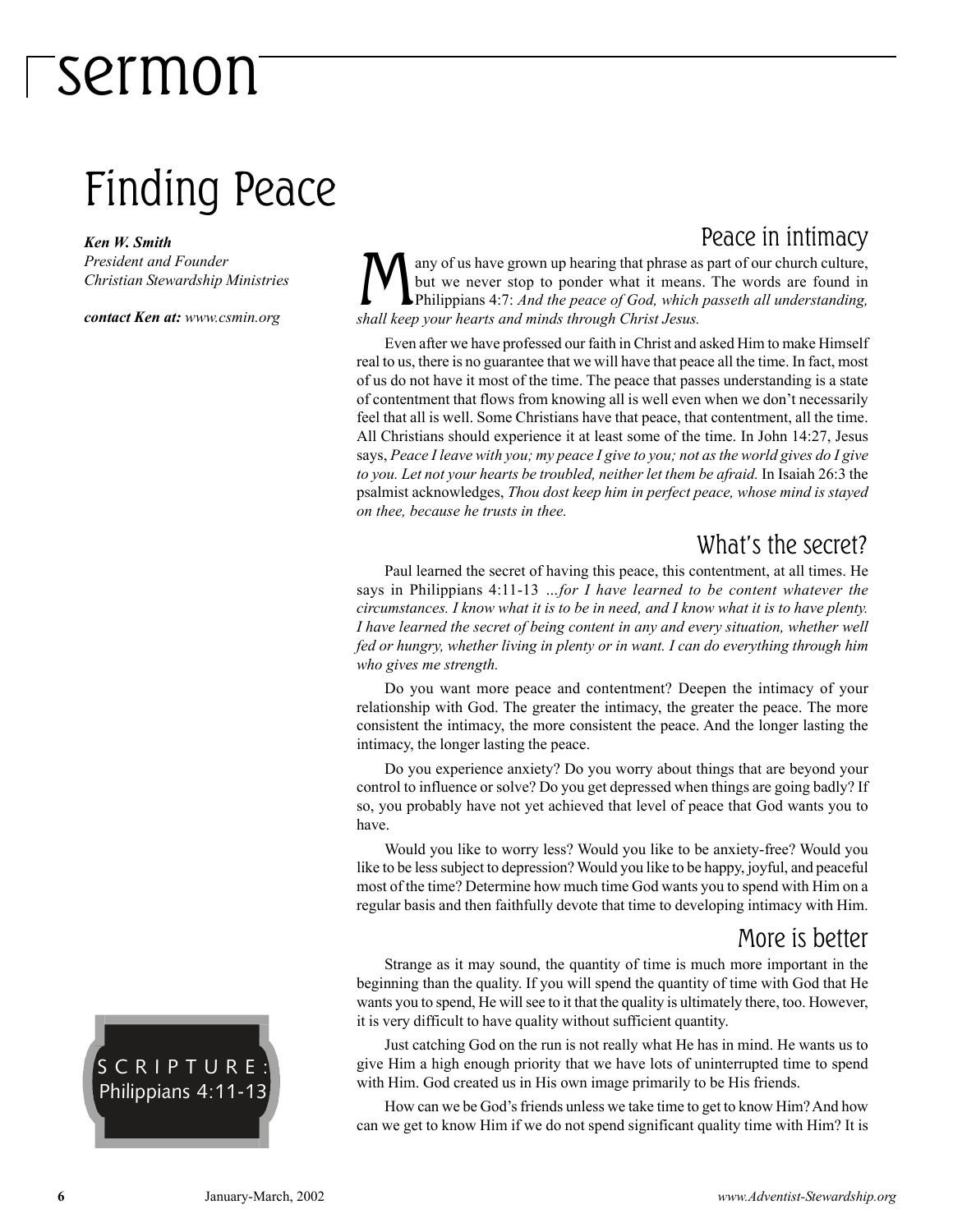### Finding Peace

*Ken W. Smith*

*President and Founder Christian Stewardship Ministries*

*contact Ken at: www.csmin.org*

Peace in intimacy any of us have grown up hearing that phrase as part of our church culture, but we never stop to ponder what it means. The words are found in Philippians 4:7: *And the peace of God, which passeth all understanding, shall keep your hearts and minds through Christ Jesus.*

Even after we have professed our faith in Christ and asked Him to make Himself real to us, there is no guarantee that we will have that peace all the time. In fact, most of us do not have it most of the time. The peace that passes understanding is a state of contentment that flows from knowing all is well even when we don't necessarily feel that all is well. Some Christians have that peace, that contentment, all the time. All Christians should experience it at least some of the time. In John 14:27, Jesus says, *Peace I leave with you; my peace I give to you; not as the world gives do I give to you. Let not your hearts be troubled, neither let them be afraid.* In Isaiah 26:3 the psalmist acknowledges, *Thou dost keep him in perfect peace, whose mind is stayed on thee, because he trusts in thee.*

### What's the secret?

Paul learned the secret of having this peace, this contentment, at all times. He says in Philippians 4:11-13 *...for I have learned to be content whatever the circumstances. I know what it is to be in need, and I know what it is to have plenty. I have learned the secret of being content in any and every situation, whether well fed or hungry, whether living in plenty or in want. I can do everything through him who gives me strength.*

Do you want more peace and contentment? Deepen the intimacy of your relationship with God. The greater the intimacy, the greater the peace. The more consistent the intimacy, the more consistent the peace. And the longer lasting the intimacy, the longer lasting the peace.

Do you experience anxiety? Do you worry about things that are beyond your control to influence or solve? Do you get depressed when things are going badly? If so, you probably have not yet achieved that level of peace that God wants you to have.

Would you like to worry less? Would you like to be anxiety-free? Would you like to be less subject to depression? Would you like to be happy, joyful, and peaceful most of the time? Determine how much time God wants you to spend with Him on a regular basis and then faithfully devote that time to developing intimacy with Him.

#### More is better

Strange as it may sound, the quantity of time is much more important in the beginning than the quality. If you will spend the quantity of time with God that He wants you to spend, He will see to it that the quality is ultimately there, too. However, it is very difficult to have quality without sufficient quantity.

Just catching God on the run is not really what He has in mind. He wants us to give Him a high enough priority that we have lots of uninterrupted time to spend with Him. God created us in His own image primarily to be His friends.

How can we be God's friends unless we take time to get to know Him? And how can we get to know Him if we do not spend significant quality time with Him? It is

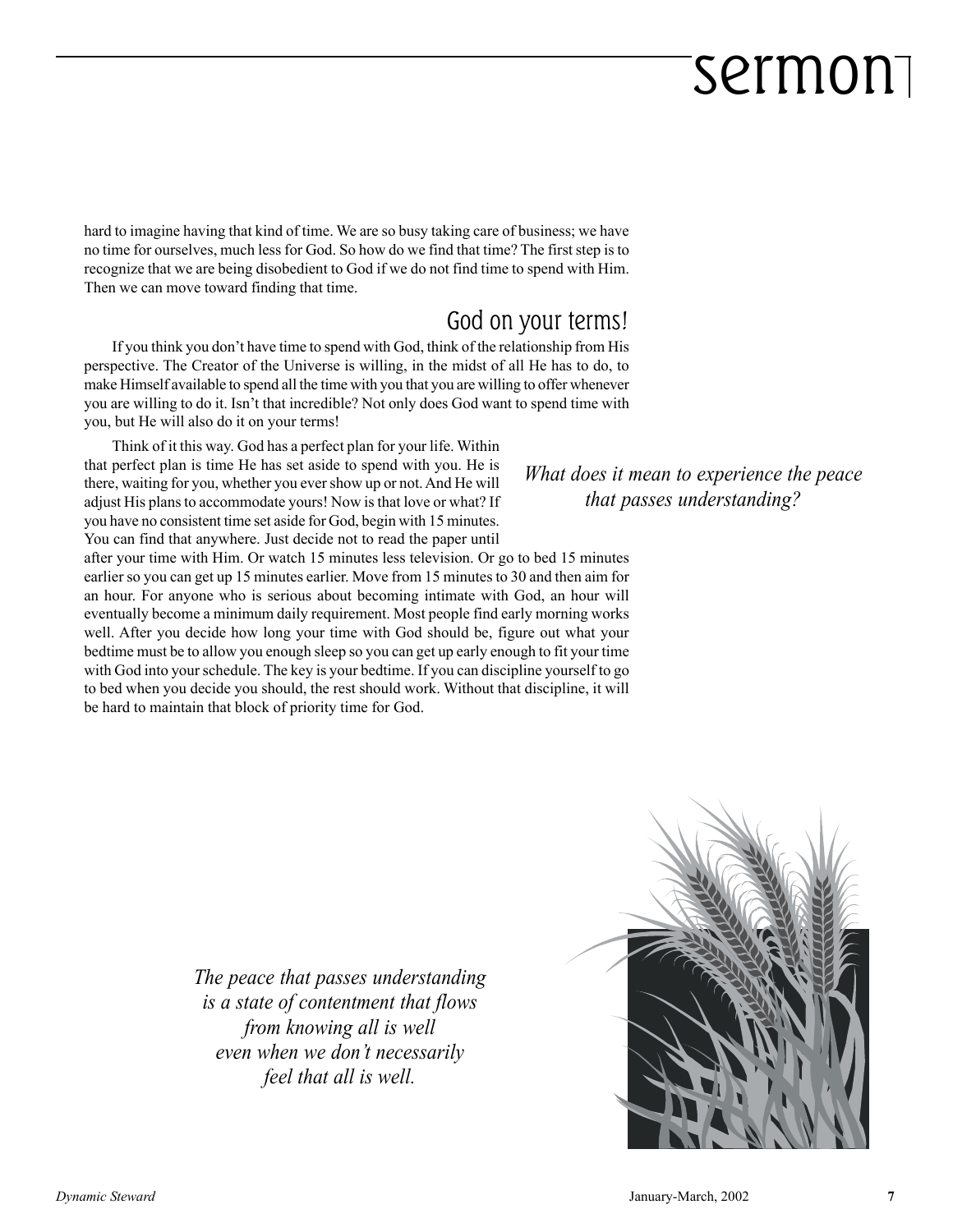hard to imagine having that kind of time. We are so busy taking care of business; we have no time for ourselves, much less for God. So how do we find that time? The first step is to recognize that we are being disobedient to God if we do not find time to spend with Him. Then we can move toward finding that time.

### God on your terms!

If you think you don't have time to spend with God, think of the relationship from His perspective. The Creator of the Universe is willing, in the midst of all He has to do, to make Himself available to spend all the time with you that you are willing to offer whenever you are willing to do it. Isn't that incredible? Not only does God want to spend time with you, but He will also do it on your terms!

Think of it this way. God has a perfect plan for your life. Within that perfect plan is time He has set aside to spend with you. He is there, waiting for you, whether you ever show up or not. And He will adjust His plans to accommodate yours! Now is that love or what? If you have no consistent time set aside for God, begin with 15 minutes. You can find that anywhere. Just decide not to read the paper until

after your time with Him. Or watch 15 minutes less television. Or go to bed 15 minutes earlier so you can get up 15 minutes earlier. Move from 15 minutes to 30 and then aim for an hour. For anyone who is serious about becoming intimate with God, an hour will eventually become a minimum daily requirement. Most people find early morning works well. After you decide how long your time with God should be, figure out what your bedtime must be to allow you enough sleep so you can get up early enough to fit your time with God into your schedule. The key is your bedtime. If you can discipline yourself to go to bed when you decide you should, the rest should work. Without that discipline, it will be hard to maintain that block of priority time for God.

*What does it mean to experience the peace that passes understanding?*

*The peace that passes understanding is a state of contentment that flows from knowing all is well even when we donít necessarily feel that all is well.*

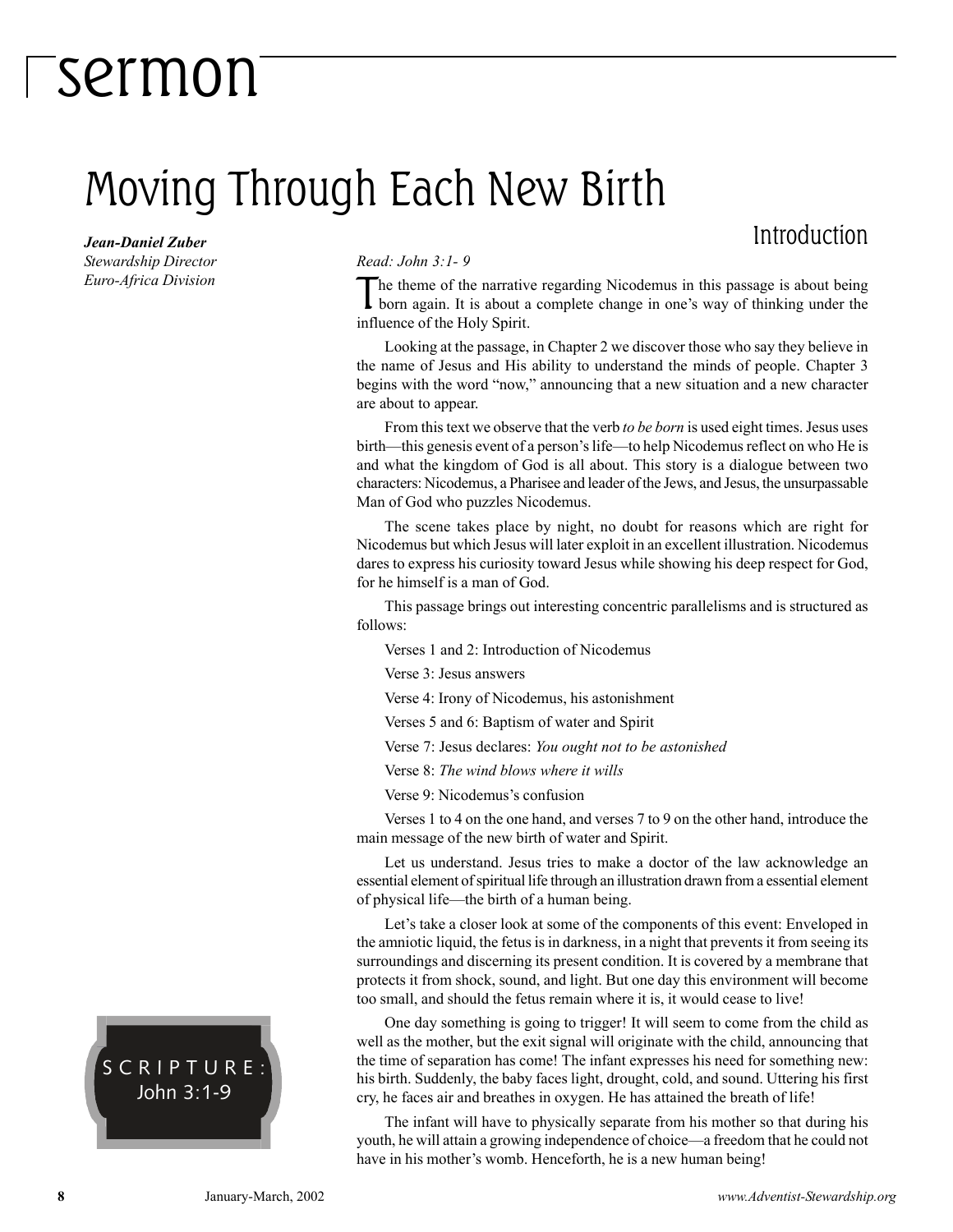### Moving Through Each New Birth

### Introduction

*Jean-Daniel Zuber Stewardship Director Euro-Africa Division*

#### *Read: John 3:1- 9*

The theme of the narrative regarding Nicodemus in this passage is about being<br>born again. It is about a complete change in one's way of thinking under the influence of the Holy Spirit.

Looking at the passage, in Chapter 2 we discover those who say they believe in the name of Jesus and His ability to understand the minds of people. Chapter 3 begins with the word "now," announcing that a new situation and a new character are about to appear.

From this text we observe that the verb *to be born* is used eight times. Jesus uses birth—this genesis event of a person's life—to help Nicodemus reflect on who He is and what the kingdom of God is all about. This story is a dialogue between two characters: Nicodemus, a Pharisee and leader of the Jews, and Jesus, the unsurpassable Man of God who puzzles Nicodemus.

The scene takes place by night, no doubt for reasons which are right for Nicodemus but which Jesus will later exploit in an excellent illustration. Nicodemus dares to express his curiosity toward Jesus while showing his deep respect for God, for he himself is a man of God.

This passage brings out interesting concentric parallelisms and is structured as follows:

Verses 1 and 2: Introduction of Nicodemus

Verse 3: Jesus answers

Verse 4: Irony of Nicodemus, his astonishment

Verses 5 and 6: Baptism of water and Spirit

Verse 7: Jesus declares: *You ought not to be astonished*

Verse 8: *The wind blows where it wills*

Verse 9: Nicodemus's confusion

Verses 1 to 4 on the one hand, and verses 7 to 9 on the other hand, introduce the main message of the new birth of water and Spirit.

Let us understand. Jesus tries to make a doctor of the law acknowledge an essential element of spiritual life through an illustration drawn from a essential element of physical life—the birth of a human being.

Let's take a closer look at some of the components of this event: Enveloped in the amniotic liquid, the fetus is in darkness, in a night that prevents it from seeing its surroundings and discerning its present condition. It is covered by a membrane that protects it from shock, sound, and light. But one day this environment will become too small, and should the fetus remain where it is, it would cease to live!

One day something is going to trigger! It will seem to come from the child as well as the mother, but the exit signal will originate with the child, announcing that the time of separation has come! The infant expresses his need for something new: his birth. Suddenly, the baby faces light, drought, cold, and sound. Uttering his first cry, he faces air and breathes in oxygen. He has attained the breath of life!

The infant will have to physically separate from his mother so that during his youth, he will attain a growing independence of choice—a freedom that he could not have in his mother's womb. Henceforth, he is a new human being!

SCRIPTURE: John 3:1-9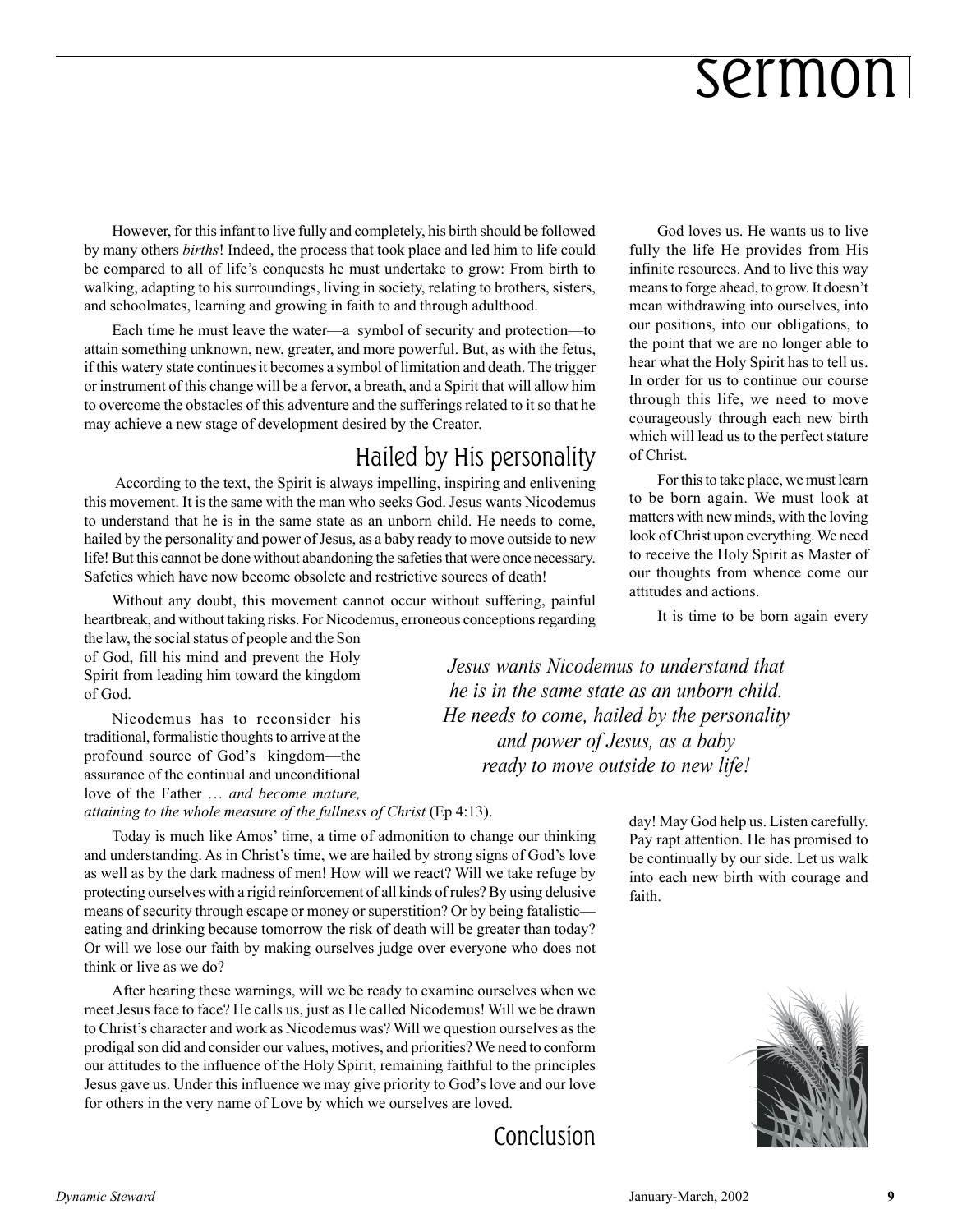However, for this infant to live fully and completely, his birth should be followed by many others *births*! Indeed, the process that took place and led him to life could be compared to all of lifeís conquests he must undertake to grow: From birth to walking, adapting to his surroundings, living in society, relating to brothers, sisters, and schoolmates, learning and growing in faith to and through adulthood.

Each time he must leave the water—a symbol of security and protection—to attain something unknown, new, greater, and more powerful. But, as with the fetus, if this watery state continues it becomes a symbol of limitation and death. The trigger or instrument of this change will be a fervor, a breath, and a Spirit that will allow him to overcome the obstacles of this adventure and the sufferings related to it so that he may achieve a new stage of development desired by the Creator.

### Hailed by His personality

 According to the text, the Spirit is always impelling, inspiring and enlivening this movement. It is the same with the man who seeks God. Jesus wants Nicodemus to understand that he is in the same state as an unborn child. He needs to come, hailed by the personality and power of Jesus, as a baby ready to move outside to new life! But this cannot be done without abandoning the safeties that were once necessary. Safeties which have now become obsolete and restrictive sources of death!

Without any doubt, this movement cannot occur without suffering, painful heartbreak, and without taking risks. For Nicodemus, erroneous conceptions regarding

the law, the social status of people and the Son of God, fill his mind and prevent the Holy Spirit from leading him toward the kingdom of God.

Nicodemus has to reconsider his traditional, formalistic thoughts to arrive at the profound source of God's kingdom—the assurance of the continual and unconditional love of the Father  $\ldots$  and become mature, *attaining to the whole measure of the fullness of Christ* (Ep 4:13).

Today is much like Amos' time, a time of admonition to change our thinking and understanding. As in Christ's time, we are hailed by strong signs of God's love as well as by the dark madness of men! How will we react? Will we take refuge by protecting ourselves with a rigid reinforcement of all kinds of rules? By using delusive means of security through escape or money or superstition? Or by being fatalistic eating and drinking because tomorrow the risk of death will be greater than today? Or will we lose our faith by making ourselves judge over everyone who does not think or live as we do?

After hearing these warnings, will we be ready to examine ourselves when we meet Jesus face to face? He calls us, just as He called Nicodemus! Will we be drawn to Christís character and work as Nicodemus was? Will we question ourselves as the prodigal son did and consider our values, motives, and priorities? We need to conform our attitudes to the influence of the Holy Spirit, remaining faithful to the principles Jesus gave us. Under this influence we may give priority to God's love and our love for others in the very name of Love by which we ourselves are loved.

God loves us. He wants us to live fully the life He provides from His infinite resources. And to live this way means to forge ahead, to grow. It doesn't mean withdrawing into ourselves, into our positions, into our obligations, to the point that we are no longer able to hear what the Holy Spirit has to tell us. In order for us to continue our course through this life, we need to move courageously through each new birth which will lead us to the perfect stature of Christ.

For this to take place, we must learn to be born again. We must look at matters with new minds, with the loving look of Christ upon everything. We need to receive the Holy Spirit as Master of our thoughts from whence come our attitudes and actions.

It is time to be born again every

*Jesus wants Nicodemus to understand that he is in the same state as an unborn child. He needs to come, hailed by the personality and power of Jesus, as a baby ready to move outside to new life!*

> day! May God help us. Listen carefully. Pay rapt attention. He has promised to be continually by our side. Let us walk into each new birth with courage and faith.

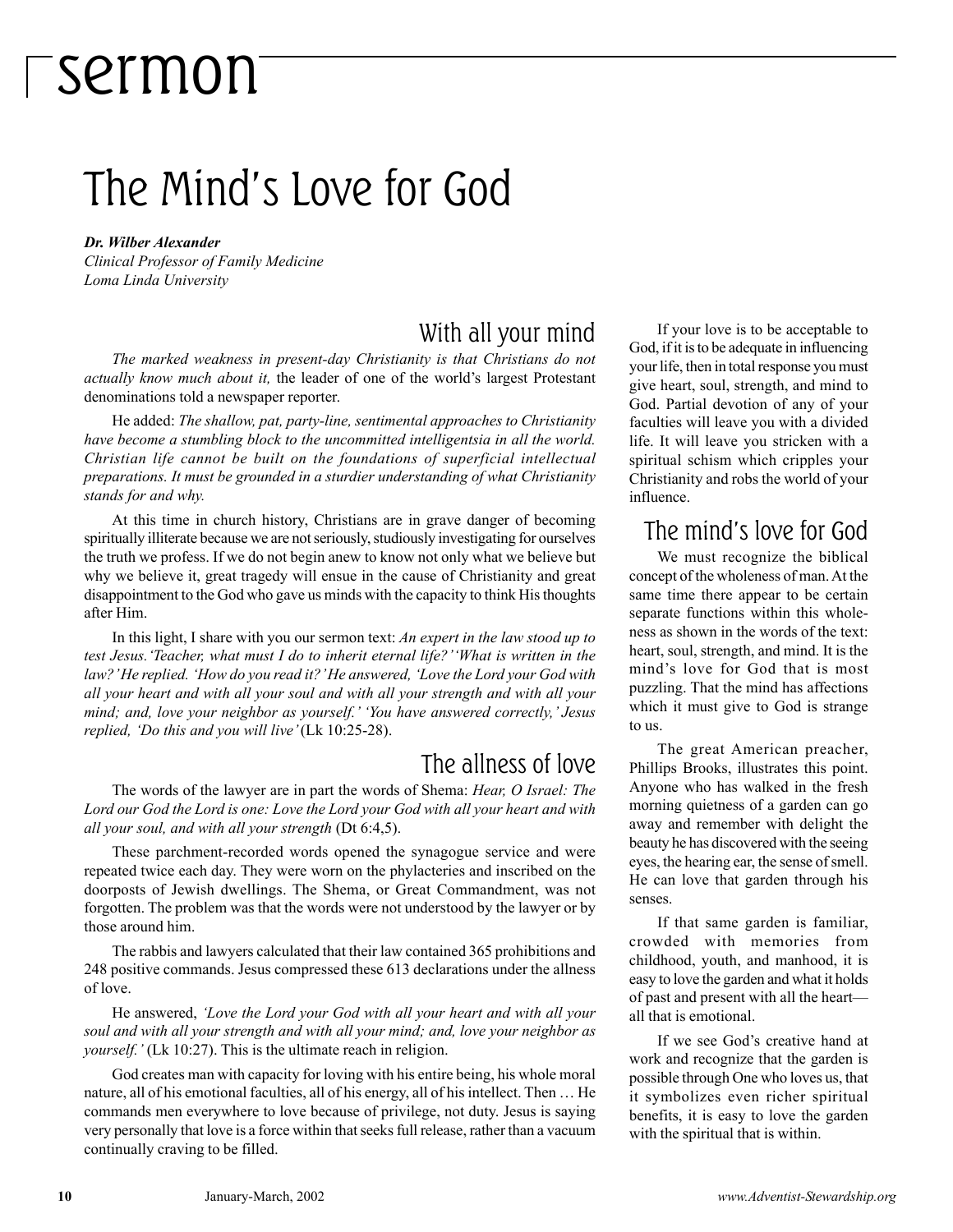### The Mind's Love for God

#### *Dr. Wilber Alexander*

*Clinical Professor of Family Medicine Loma Linda University*

### With all your mind

*The marked weakness in present-day Christianity is that Christians do not actually know much about it,* the leader of one of the world's largest Protestant denominations told a newspaper reporter.

He added: *The shallow, pat, party-line, sentimental approaches to Christianity have become a stumbling block to the uncommitted intelligentsia in all the world. Christian life cannot be built on the foundations of superficial intellectual preparations. It must be grounded in a sturdier understanding of what Christianity stands for and why.*

At this time in church history, Christians are in grave danger of becoming spiritually illiterate because we are not seriously, studiously investigating for ourselves the truth we profess. If we do not begin anew to know not only what we believe but why we believe it, great tragedy will ensue in the cause of Christianity and great disappointment to the God who gave us minds with the capacity to think His thoughts after Him.

In this light, I share with you our sermon text: *An expert in the law stood up to test Jesus.* 'Teacher, what must I do to inherit eternal life?' 'What is written in the law?'He replied. 'How do you read it?'He answered, 'Love the Lord your God with *all your heart and with all your soul and with all your strength and with all your mind; and, love your neighbor as yourself.' 'You have answered correctly,' Jesus replied, 'Do this and you will live'* (Lk 10:25-28).

### The allness of love

The words of the lawyer are in part the words of Shema: *Hear, O Israel: The Lord our God the Lord is one: Love the Lord your God with all your heart and with all your soul, and with all your strength* (Dt 6:4,5).

These parchment-recorded words opened the synagogue service and were repeated twice each day. They were worn on the phylacteries and inscribed on the doorposts of Jewish dwellings. The Shema, or Great Commandment, was not forgotten. The problem was that the words were not understood by the lawyer or by those around him.

The rabbis and lawyers calculated that their law contained 365 prohibitions and 248 positive commands. Jesus compressed these 613 declarations under the allness of love.

He answered, *ëLove the Lord your God with all your heart and with all your soul and with all your strength and with all your mind; and, love your neighbor as yourself.'* (Lk 10:27). This is the ultimate reach in religion.

God creates man with capacity for loving with his entire being, his whole moral nature, all of his emotional faculties, all of his energy, all of his intellect. Then  $\dots$  He commands men everywhere to love because of privilege, not duty. Jesus is saying very personally that love is a force within that seeks full release, rather than a vacuum continually craving to be filled.

If your love is to be acceptable to God, if it is to be adequate in influencing your life, then in total response you must give heart, soul, strength, and mind to God. Partial devotion of any of your faculties will leave you with a divided life. It will leave you stricken with a spiritual schism which cripples your Christianity and robs the world of your influence.

### The mind's love for God

We must recognize the biblical concept of the wholeness of man. At the same time there appear to be certain separate functions within this wholeness as shown in the words of the text: heart, soul, strength, and mind. It is the mind's love for God that is most puzzling. That the mind has affections which it must give to God is strange to us.

The great American preacher, Phillips Brooks, illustrates this point. Anyone who has walked in the fresh morning quietness of a garden can go away and remember with delight the beauty he has discovered with the seeing eyes, the hearing ear, the sense of smell. He can love that garden through his senses.

If that same garden is familiar, crowded with memories from childhood, youth, and manhood, it is easy to love the garden and what it holds of past and present with all the heart all that is emotional.

If we see God's creative hand at work and recognize that the garden is possible through One who loves us, that it symbolizes even richer spiritual benefits, it is easy to love the garden with the spiritual that is within.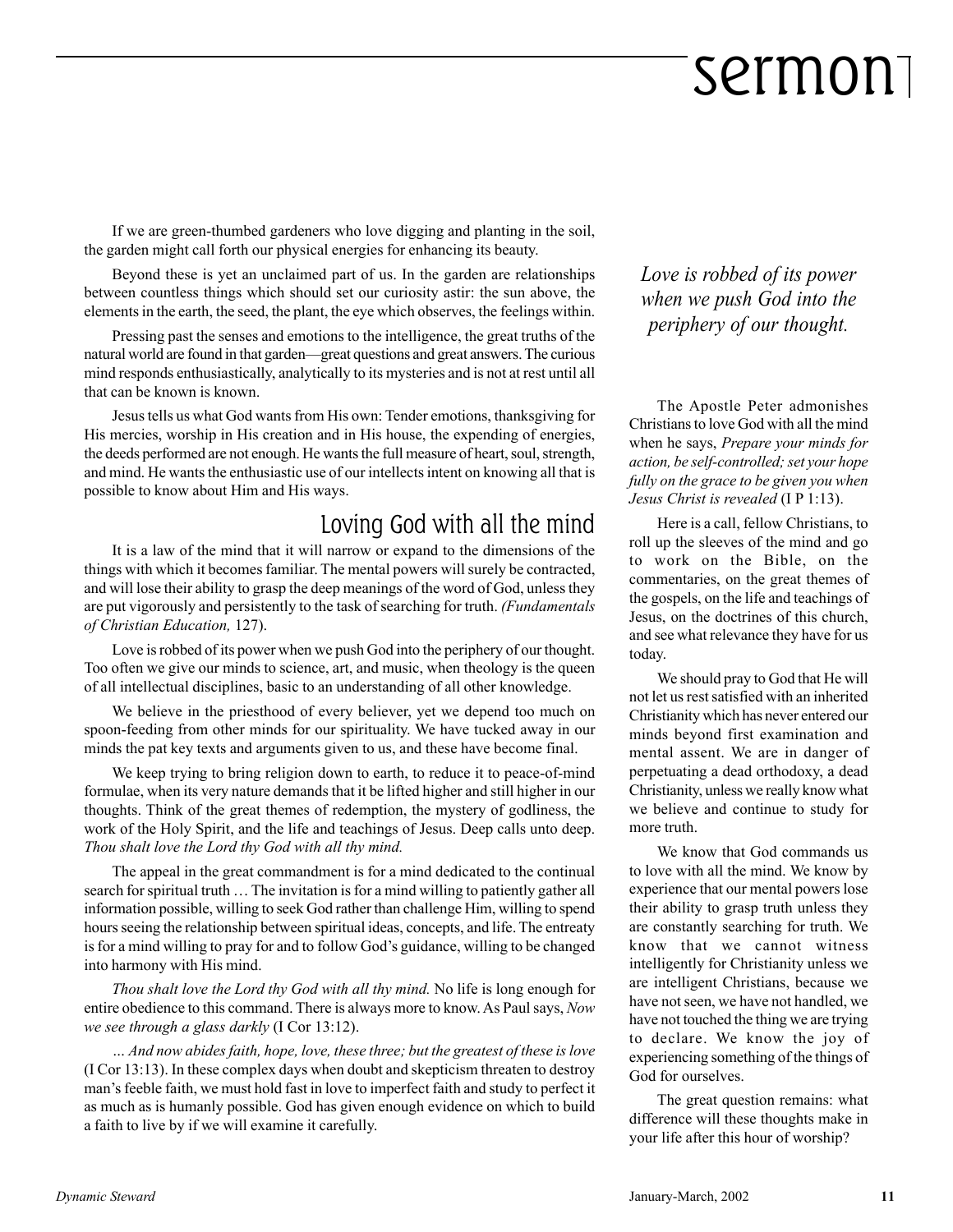If we are green-thumbed gardeners who love digging and planting in the soil, the garden might call forth our physical energies for enhancing its beauty.

Beyond these is yet an unclaimed part of us. In the garden are relationships between countless things which should set our curiosity astir: the sun above, the elements in the earth, the seed, the plant, the eye which observes, the feelings within.

Pressing past the senses and emotions to the intelligence, the great truths of the natural world are found in that garden—great questions and great answers. The curious mind responds enthusiastically, analytically to its mysteries and is not at rest until all that can be known is known.

Jesus tells us what God wants from His own: Tender emotions, thanksgiving for His mercies, worship in His creation and in His house, the expending of energies, the deeds performed are not enough. He wants the full measure of heart, soul, strength, and mind. He wants the enthusiastic use of our intellects intent on knowing all that is possible to know about Him and His ways.

### Loving God with all the mind

It is a law of the mind that it will narrow or expand to the dimensions of the things with which it becomes familiar. The mental powers will surely be contracted, and will lose their ability to grasp the deep meanings of the word of God, unless they are put vigorously and persistently to the task of searching for truth. *(Fundamentals of Christian Education,* 127).

Love is robbed of its power when we push God into the periphery of our thought. Too often we give our minds to science, art, and music, when theology is the queen of all intellectual disciplines, basic to an understanding of all other knowledge.

We believe in the priesthood of every believer, yet we depend too much on spoon-feeding from other minds for our spirituality. We have tucked away in our minds the pat key texts and arguments given to us, and these have become final.

We keep trying to bring religion down to earth, to reduce it to peace-of-mind formulae, when its very nature demands that it be lifted higher and still higher in our thoughts. Think of the great themes of redemption, the mystery of godliness, the work of the Holy Spirit, and the life and teachings of Jesus. Deep calls unto deep. *Thou shalt love the Lord thy God with all thy mind.*

The appeal in the great commandment is for a mind dedicated to the continual search for spiritual truth  $\ldots$  The invitation is for a mind willing to patiently gather all information possible, willing to seek God rather than challenge Him, willing to spend hours seeing the relationship between spiritual ideas, concepts, and life. The entreaty is for a mind willing to pray for and to follow God's guidance, willing to be changed into harmony with His mind.

*Thou shalt love the Lord thy God with all thy mind.* No life is long enough for entire obedience to this command. There is always more to know. As Paul says, *Now we see through a glass darkly* (I Cor 13:12).

*Ö And now abides faith, hope, love, these three; but the greatest of these is love* (I Cor 13:13). In these complex days when doubt and skepticism threaten to destroy manís feeble faith, we must hold fast in love to imperfect faith and study to perfect it as much as is humanly possible. God has given enough evidence on which to build a faith to live by if we will examine it carefully.

*Love is robbed of its power when we push God into the periphery of our thought.*

The Apostle Peter admonishes Christians to love God with all the mind when he says, *Prepare your minds for action, be self-controlled; set your hope fully on the grace to be given you when Jesus Christ is revealed* (I P 1:13).

Here is a call, fellow Christians, to roll up the sleeves of the mind and go to work on the Bible, on the commentaries, on the great themes of the gospels, on the life and teachings of Jesus, on the doctrines of this church, and see what relevance they have for us today.

We should pray to God that He will not let us rest satisfied with an inherited Christianity which has never entered our minds beyond first examination and mental assent. We are in danger of perpetuating a dead orthodoxy, a dead Christianity, unless we really know what we believe and continue to study for more truth.

We know that God commands us to love with all the mind. We know by experience that our mental powers lose their ability to grasp truth unless they are constantly searching for truth. We know that we cannot witness intelligently for Christianity unless we are intelligent Christians, because we have not seen, we have not handled, we have not touched the thing we are trying to declare. We know the joy of experiencing something of the things of God for ourselves.

The great question remains: what difference will these thoughts make in your life after this hour of worship?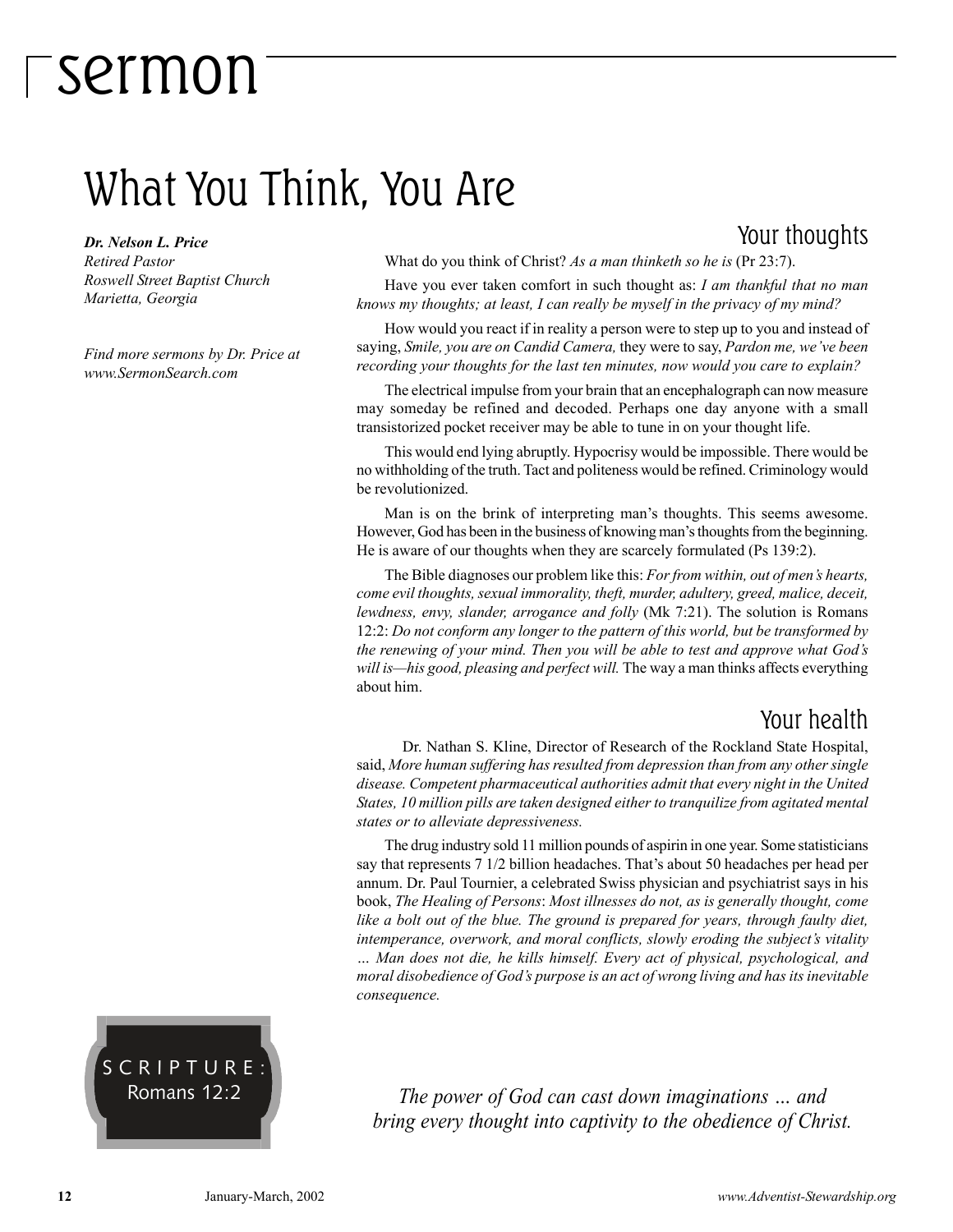### What You Think, You Are

*Dr. Nelson L. Price Retired Pastor Roswell Street Baptist Church Marietta, Georgia*

*Find more sermons by Dr. Price at www.SermonSearch.com*

### Your thoughts

What do you think of Christ? *As a man thinketh so he is* (Pr 23:7).

Have you ever taken comfort in such thought as: *I am thankful that no man knows my thoughts; at least, I can really be myself in the privacy of my mind?*

How would you react if in reality a person were to step up to you and instead of saying, *Smile, you are on Candid Camera*, they were to say, *Pardon me, we've been recording your thoughts for the last ten minutes, now would you care to explain?*

The electrical impulse from your brain that an encephalograph can now measure may someday be refined and decoded. Perhaps one day anyone with a small transistorized pocket receiver may be able to tune in on your thought life.

This would end lying abruptly. Hypocrisy would be impossible. There would be no withholding of the truth. Tact and politeness would be refined. Criminology would be revolutionized.

Man is on the brink of interpreting man's thoughts. This seems awesome. However, God has been in the business of knowing man's thoughts from the beginning. He is aware of our thoughts when they are scarcely formulated (Ps 139:2).

The Bible diagnoses our problem like this: *For from within, out of menís hearts, come evil thoughts, sexual immorality, theft, murder, adultery, greed, malice, deceit, lewdness, envy, slander, arrogance and folly* (Mk 7:21). The solution is Romans 12:2: *Do not conform any longer to the pattern of this world, but be transformed by the renewing of your mind. Then you will be able to test and approve what Godís will is—his good, pleasing and perfect will.* The way a man thinks affects everything about him.

### Your health

 Dr. Nathan S. Kline, Director of Research of the Rockland State Hospital, said, *More human suffering has resulted from depression than from any other single disease. Competent pharmaceutical authorities admit that every night in the United States, 10 million pills are taken designed either to tranquilize from agitated mental states or to alleviate depressiveness.*

The drug industry sold 11 million pounds of aspirin in one year. Some statisticians say that represents 7 1/2 billion headaches. That's about 50 headaches per head per annum. Dr. Paul Tournier, a celebrated Swiss physician and psychiatrist says in his book, *The Healing of Persons*: *Most illnesses do not, as is generally thought, come like a bolt out of the blue. The ground is prepared for years, through faulty diet,* intemperance, overwork, and moral conflicts, slowly eroding the subject's vitality *Ö Man does not die, he kills himself. Every act of physical, psychological, and moral disobedience of Godís purpose is an act of wrong living and has its inevitable consequence.*



*The power of God can cast down imaginations ... and bring every thought into captivity to the obedience of Christ.*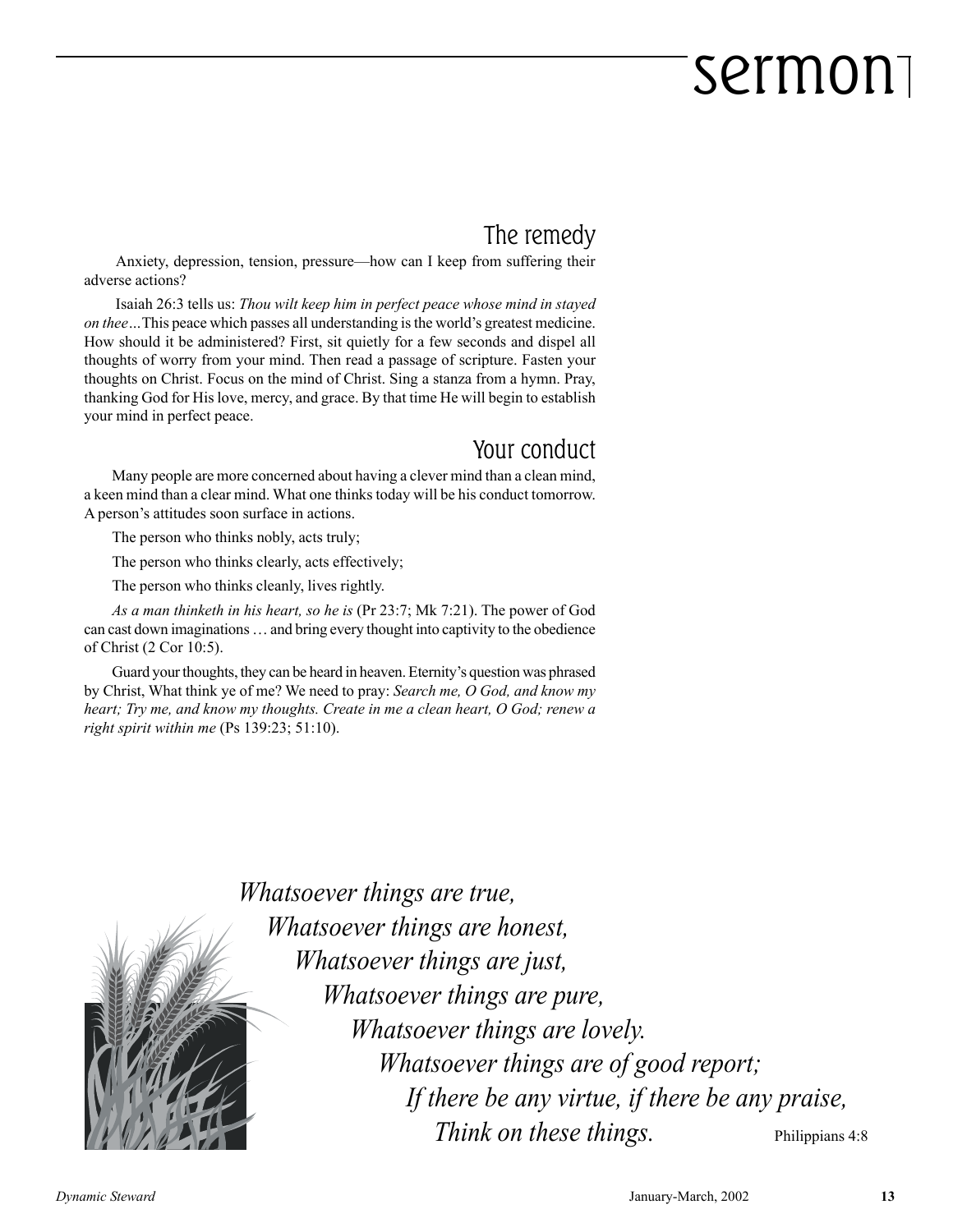### The remedy

Anxiety, depression, tension, pressure—how can I keep from suffering their adverse actions?

 Isaiah 26:3 tells us: *Thou wilt keep him in perfect peace whose mind in stayed on thee* ... This peace which passes all understanding is the world's greatest medicine. How should it be administered? First, sit quietly for a few seconds and dispel all thoughts of worry from your mind. Then read a passage of scripture. Fasten your thoughts on Christ. Focus on the mind of Christ. Sing a stanza from a hymn. Pray, thanking God for His love, mercy, and grace. By that time He will begin to establish your mind in perfect peace.

#### Your conduct

Many people are more concerned about having a clever mind than a clean mind, a keen mind than a clear mind. What one thinks today will be his conduct tomorrow. A person's attitudes soon surface in actions.

The person who thinks nobly, acts truly;

The person who thinks clearly, acts effectively;

The person who thinks cleanly, lives rightly.

*As a man thinketh in his heart, so he is* (Pr 23:7; Mk 7:21). The power of God can cast down imaginations  $\dots$  and bring every thought into captivity to the obedience of Christ (2 Cor 10:5).

Guard your thoughts, they can be heard in heaven. Eternity's question was phrased by Christ, What think ye of me? We need to pray: *Search me, O God, and know my heart; Try me, and know my thoughts. Create in me a clean heart, O God; renew a right spirit within me* (Ps 139:23; 51:10).



*Whatsoever things are true, Whatsoever things are honest, Whatsoever things are just, Whatsoever things are pure, Whatsoever things are lovely. Whatsoever things are of good report; If there be any virtue, if there be any praise, Think on these things.* Philippians 4:8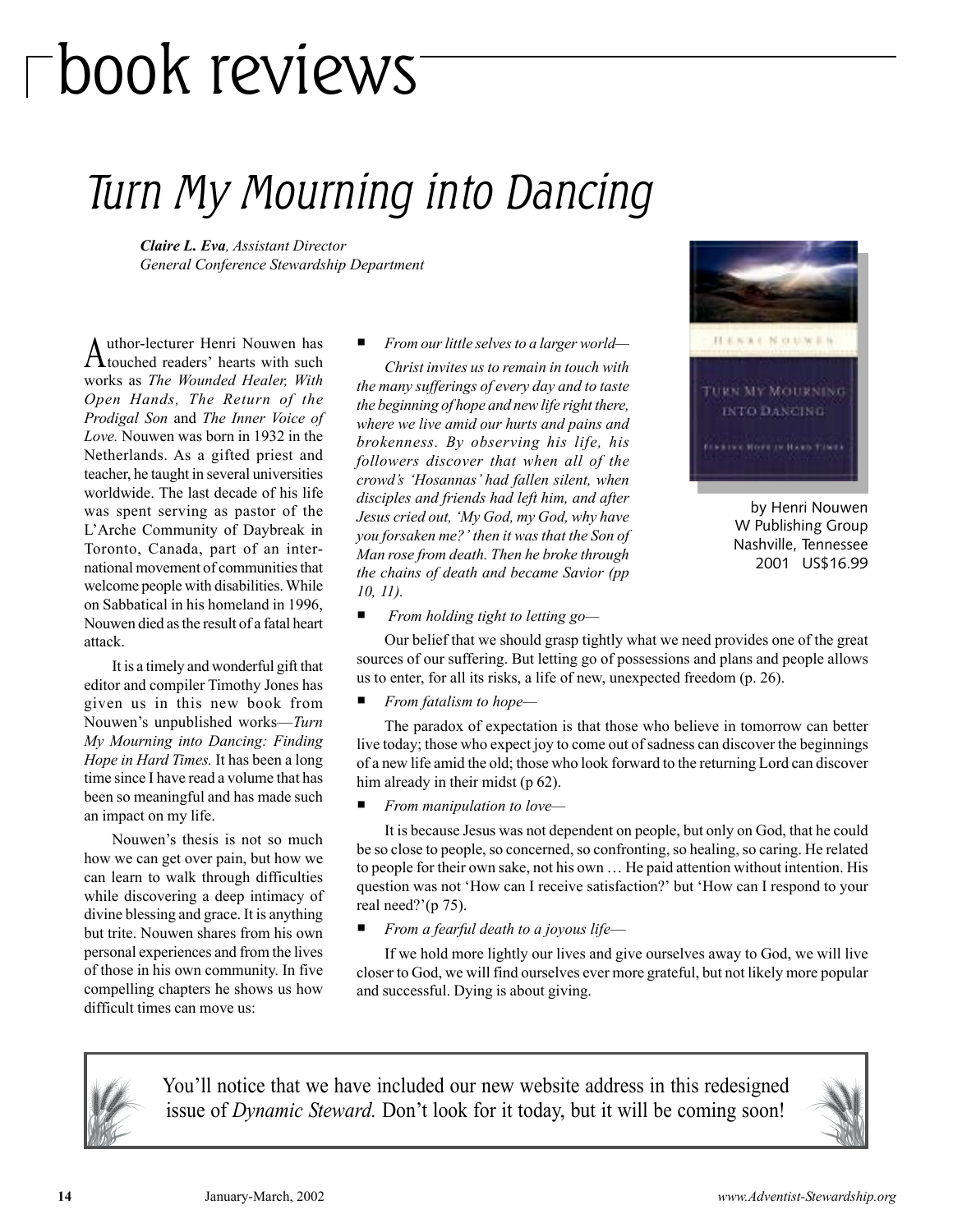# book reviews

### Turn My Mourning into Dancing

*Claire L. Eva, Assistant Director General Conference Stewardship Department*

Author-lecturer Henri Nouwen has touched readersí hearts with such works as *The Wounded Healer, With Open Hands, The Return of the Prodigal Son* and *The Inner Voice of Love.* Nouwen was born in 1932 in the Netherlands. As a gifted priest and teacher, he taught in several universities worldwide. The last decade of his life was spent serving as pastor of the L'Arche Community of Daybreak in Toronto, Canada, part of an international movement of communities that welcome people with disabilities. While on Sabbatical in his homeland in 1996, Nouwen died as the result of a fatal heart attack.

It is a timely and wonderful gift that editor and compiler Timothy Jones has given us in this new book from Nouwen's unpublished works—*Turn My Mourning into Dancing: Finding Hope in Hard Times.* It has been a long time since I have read a volume that has been so meaningful and has made such an impact on my life.

Nouwen's thesis is not so much how we can get over pain, but how we can learn to walk through difficulties while discovering a deep intimacy of divine blessing and grace. It is anything but trite. Nouwen shares from his own personal experiences and from the lives of those in his own community. In five compelling chapters he shows us how difficult times can move us:

From our little selves to a larger world—

*Christ invites us to remain in touch with the many sufferings of every day and to taste the beginning of hope and new life right there, where we live amid our hurts and pains and brokenness. By observing his life, his followers discover that when all of the crowdís ëHosannasí had fallen silent, when disciples and friends had left him, and after Jesus cried out, ëMy God, my God, why have you forsaken me?' then it was that the Son of Man rose from death. Then he broke through the chains of death and became Savior (pp 10, 11).*



by Henri Nouwen W Publishing Group Nashville, Tennessee 2001 US\$16.99

**P** *From holding tight to letting go*—

Our belief that we should grasp tightly what we need provides one of the great sources of our suffering. But letting go of possessions and plans and people allows us to enter, for all its risks, a life of new, unexpected freedom (p. 26).

**Figure 1** From fatalism to hope—

The paradox of expectation is that those who believe in tomorrow can better live today; those who expect joy to come out of sadness can discover the beginnings of a new life amid the old; those who look forward to the returning Lord can discover him already in their midst (p 62).

*From manipulation to love*—

It is because Jesus was not dependent on people, but only on God, that he could be so close to people, so concerned, so confronting, so healing, so caring. He related to people for their own sake, not his own  $\dots$  He paid attention without intention. His question was not 'How can I receive satisfaction?' but 'How can I respond to your real need?'( $p$  75).

*From a fearful death to a joyous life*—

If we hold more lightly our lives and give ourselves away to God, we will live closer to God, we will find ourselves ever more grateful, but not likely more popular and successful. Dying is about giving.



You'll notice that we have included our new website address in this redesigned issue of *Dynamic Steward*. Don't look for it today, but it will be coming soon!

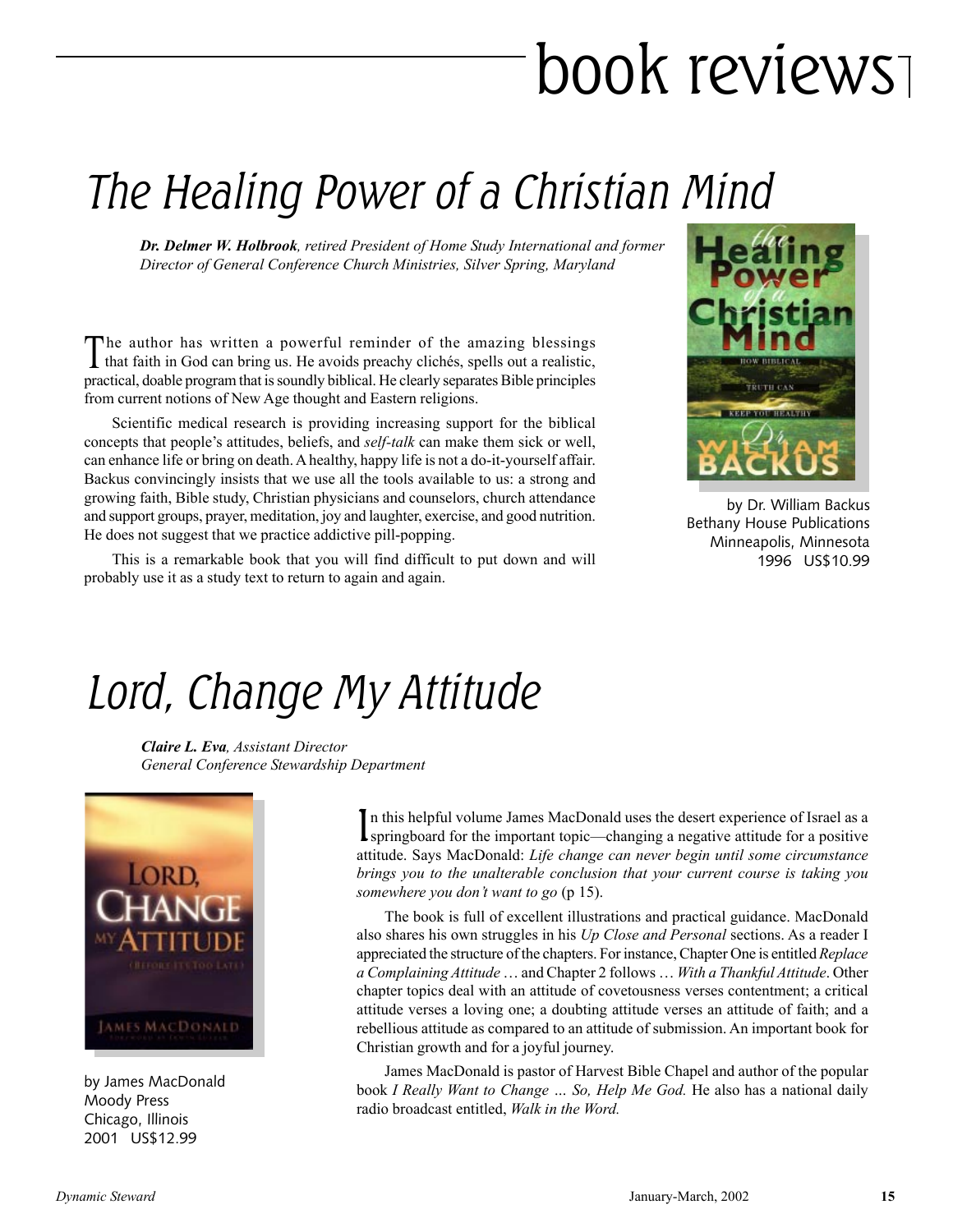# book reviews

## The Healing Power of a Christian Mind

*Dr. Delmer W. Holbrook, retired President of Home Study International and former Director of General Conference Church Ministries, Silver Spring, Maryland*

The author has written a powerful reminder of the amazing blessings I that faith in God can bring us. He avoids preachy clichés, spells out a realistic, practical, doable program that is soundly biblical. He clearly separates Bible principles from current notions of New Age thought and Eastern religions.

Scientific medical research is providing increasing support for the biblical concepts that people's attitudes, beliefs, and *self-talk* can make them sick or well, can enhance life or bring on death. A healthy, happy life is not a do-it-yourself affair. Backus convincingly insists that we use all the tools available to us: a strong and growing faith, Bible study, Christian physicians and counselors, church attendance and support groups, prayer, meditation, joy and laughter, exercise, and good nutrition. He does not suggest that we practice addictive pill-popping.

This is a remarkable book that you will find difficult to put down and will probably use it as a study text to return to again and again.



by Dr. William Backus Bethany House Publications Minneapolis, Minnesota 1996 US\$10.99

### Lord, Change My Attitude

*Claire L. Eva, Assistant Director General Conference Stewardship Department*



by James MacDonald Moody Press Chicago, Illinois 2001 US\$12.99

In this helpful volume James MacDonald uses the desert experience of Israel as a springboard for the important topic—changing a negative attitude for a positive n this helpful volume James MacDonald uses the desert experience of Israel as a attitude. Says MacDonald: *Life change can never begin until some circumstance brings you to the unalterable conclusion that your current course is taking you somewhere you don't want to go* (p 15).

The book is full of excellent illustrations and practical guidance. MacDonald also shares his own struggles in his *Up Close and Personal* sections. As a reader I appreciated the structure of the chapters. For instance, Chapter One is entitled *Replace a Complaining Attitude* ... and Chapter 2 follows ... With a Thankful Attitude. Other chapter topics deal with an attitude of covetousness verses contentment; a critical attitude verses a loving one; a doubting attitude verses an attitude of faith; and a rebellious attitude as compared to an attitude of submission. An important book for Christian growth and for a joyful journey.

James MacDonald is pastor of Harvest Bible Chapel and author of the popular book *I Really Want to Change ... So, Help Me God*. He also has a national daily radio broadcast entitled, *Walk in the Word.*